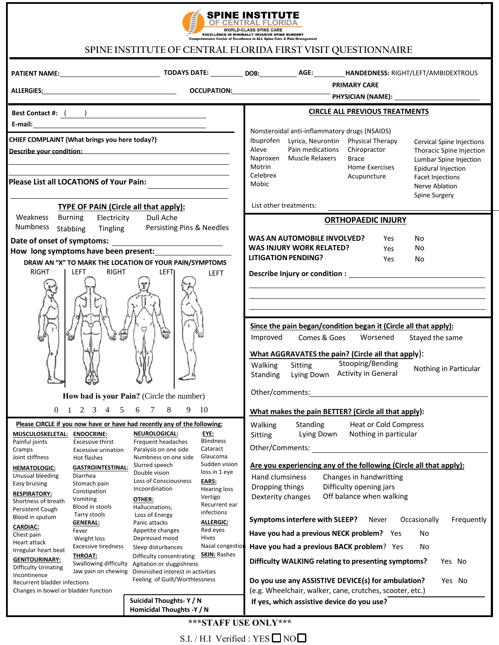

## **SPINE INSTITUTE OF CENTRAL FLORIDA FIRST VISIT QUESTIONNAIRE**

|                                                                                                                                                                                                                                                                                                                                                                                                                                                                                                                                                                                                                                                                                                                                                                                                      |                                                                                                                                                                                                                                                                                                                                                                                                                                                                                                                                                                                                                                                                                                                                                                      | <b>PRIMARY CARE</b>                                                                                                                                                                                                                                                                                                                                                                                                                                                                                                                                                                                                                                                                                    |  |  |  |
|------------------------------------------------------------------------------------------------------------------------------------------------------------------------------------------------------------------------------------------------------------------------------------------------------------------------------------------------------------------------------------------------------------------------------------------------------------------------------------------------------------------------------------------------------------------------------------------------------------------------------------------------------------------------------------------------------------------------------------------------------------------------------------------------------|----------------------------------------------------------------------------------------------------------------------------------------------------------------------------------------------------------------------------------------------------------------------------------------------------------------------------------------------------------------------------------------------------------------------------------------------------------------------------------------------------------------------------------------------------------------------------------------------------------------------------------------------------------------------------------------------------------------------------------------------------------------------|--------------------------------------------------------------------------------------------------------------------------------------------------------------------------------------------------------------------------------------------------------------------------------------------------------------------------------------------------------------------------------------------------------------------------------------------------------------------------------------------------------------------------------------------------------------------------------------------------------------------------------------------------------------------------------------------------------|--|--|--|
|                                                                                                                                                                                                                                                                                                                                                                                                                                                                                                                                                                                                                                                                                                                                                                                                      |                                                                                                                                                                                                                                                                                                                                                                                                                                                                                                                                                                                                                                                                                                                                                                      | ALLERGIES <u>: and a comparison occupation; and a comparison of the physician (name): and a comparison of the compa</u>                                                                                                                                                                                                                                                                                                                                                                                                                                                                                                                                                                                |  |  |  |
| Best Contact #: <u>( )</u>                                                                                                                                                                                                                                                                                                                                                                                                                                                                                                                                                                                                                                                                                                                                                                           |                                                                                                                                                                                                                                                                                                                                                                                                                                                                                                                                                                                                                                                                                                                                                                      | <b>CIRCLE ALL PREVIOUS TREATMENTS</b>                                                                                                                                                                                                                                                                                                                                                                                                                                                                                                                                                                                                                                                                  |  |  |  |
| CHIEF COMPLAINT (What brings you here today?)<br>Please List all LOCATIONS of Your Pain:<br><b>TYPE OF PAIN (Circle all that apply):</b>                                                                                                                                                                                                                                                                                                                                                                                                                                                                                                                                                                                                                                                             | <u> 1989 - Johann Barbara, martin a</u>                                                                                                                                                                                                                                                                                                                                                                                                                                                                                                                                                                                                                                                                                                                              | Nonsteroidal anti-inflammatory drugs (NSAIDS)<br>Ibuprofen<br>Physical Therapy<br>Lyrica, Neurontin<br><b>Cervical Spine Injections</b><br>Aleve<br>Pain medications<br>Chiropractor<br>Thoracic Spine Injection<br>Naproxen Muscle Relaxers<br>Brace<br>Lumbar Spine Injection<br>Motrin<br>Home Exercises<br>Epidural Injection<br>Celebrex<br>Acupuncture<br><b>Facet Injections</b><br>Mobic<br>Nerve Ablation<br><b>Spine Surgery</b><br>List other treatments:                                                                                                                                                                                                                                   |  |  |  |
| Weakness Burning<br>Electricity                                                                                                                                                                                                                                                                                                                                                                                                                                                                                                                                                                                                                                                                                                                                                                      | Dull Ache                                                                                                                                                                                                                                                                                                                                                                                                                                                                                                                                                                                                                                                                                                                                                            | <b>ORTHOPAEDIC INJURY</b>                                                                                                                                                                                                                                                                                                                                                                                                                                                                                                                                                                                                                                                                              |  |  |  |
| Numbness<br>Persisting Pins & Needles<br>Tingling<br>Stabbing<br>How long symptoms have been present:<br>DRAW AN "X" TO MARK THE LOCATION OF YOUR PAIN/SYMPTOMS<br><b>RIGHT</b><br>LEFT<br>RIGHT<br>LEFTI<br><b>LEFT</b>                                                                                                                                                                                                                                                                                                                                                                                                                                                                                                                                                                             |                                                                                                                                                                                                                                                                                                                                                                                                                                                                                                                                                                                                                                                                                                                                                                      | WAS AN AUTOMOBILE INVOLVED?<br>Yes<br>No<br><b>WAS INJURY WORK RELATED?</b><br>No<br>Yes<br><b>LITIGATION PENDING?</b><br>No.<br>Yes<br>and the control of the control of the control of the control of the control of the control of the control of the                                                                                                                                                                                                                                                                                                                                                                                                                                               |  |  |  |
|                                                                                                                                                                                                                                                                                                                                                                                                                                                                                                                                                                                                                                                                                                                                                                                                      |                                                                                                                                                                                                                                                                                                                                                                                                                                                                                                                                                                                                                                                                                                                                                                      | Since the pain began/condition began it (Circle all that apply):<br>Improved Comes & Goes Worsened<br>Stayed the same<br>What AGGRAVATES the pain? (Circle all that apply):<br>Stooping/Bending<br>Sitting<br>Walking<br>Nothing in Particular<br><b>Activity in General</b><br>Lying Down<br>Standing<br>Other/comments:                                                                                                                                                                                                                                                                                                                                                                              |  |  |  |
|                                                                                                                                                                                                                                                                                                                                                                                                                                                                                                                                                                                                                                                                                                                                                                                                      | How bad is your Pain? (Circle the number)                                                                                                                                                                                                                                                                                                                                                                                                                                                                                                                                                                                                                                                                                                                            | <u> 1989 - John Stein, Amerikaansk politiker (</u>                                                                                                                                                                                                                                                                                                                                                                                                                                                                                                                                                                                                                                                     |  |  |  |
| Please CIRCLE if you now have or have had recently any of the following:<br>MUSCULOSKELETAL: ENDOCRINE:<br>Painful joints<br><b>Excessive thirst</b><br>Cramps<br>Excessive urination<br>Joint stiffness<br>Hot flashes<br><b>GASTROINTESTINAL:</b><br><b>HEMATOLOGIC:</b><br>Diarrhea<br>Unusual bleeding<br>Easy bruising<br>Stomach pain<br>Constipation<br><b>RESPIRATORY:</b><br>Vomiting<br>Shortness of breath<br>Blood in stools<br>Persistent Cough<br>Tarry stools<br>Blood in sputum<br><b>GENERAL:</b><br><b>CARDIAC:</b><br>Fever<br>Chest pain<br>Weight loss<br>Heart attack<br><b>Excessive tiredness</b><br>Irregular heart beat<br><b>THROAT:</b><br><b>GENITOURINARY:</b><br>Swallowing difficulty<br><b>Difficulty Urinating</b><br>Incontinence<br>Recurrent bladder infections | $0 \t1 \t2 \t3 \t4 \t5 \t6 \t7 \t8 \t9 \t10$<br><u>EYE:</u><br><b>NEUROLOGICAL:</b><br><b>Blindness</b><br>Frequent headaches<br>Cataract<br>Paralysis on one side<br>Glaucoma<br>Numbness on one side<br>Sudden vision<br>Slurred speech<br>loss in 1 eye<br>Double vision<br>Loss of Consciousness<br>EARS:<br>Incoordination<br><b>Hearing loss</b><br>Vertigo<br>OTHER:<br>Recurrent ear<br>Hallucinations,<br>infections<br>Loss of Energy<br>Panic attacks<br><b>ALLERGIC:</b><br>Red eyes<br>Appetite changes<br>Hives<br>Depressed mood<br>Nasal congestion<br>Sleep disturbances<br><b>SKIN: Rashes</b><br>Difficulty concentrating<br>Agitation or sluggishness<br>Jaw pain on chewing Diminished interest in activities<br>Feeling of Guilt/Worthlessness | What makes the pain BETTER? (Circle all that apply):<br>Walking Standing Heat or Cold Compress<br>Nothing in particular<br>Lying Down<br>Sitting<br>Other/Comments:<br>Are you experiencing any of the following (Circle all that apply):<br>Hand clumsiness<br>Changes in handwritting<br>Difficulty opening jars<br>Dropping things<br>Off balance when walking<br>Dexterity changes<br>Symptoms interfere with SLEEP?<br>Never<br>Frequently<br>Occasionally<br>Have you had a previous NECK problem? Yes<br>No<br>Have you had a previous BACK problem? Yes<br>No<br>Difficulty WALKING relating to presenting symptoms?<br>Yes No<br>Do you use any ASSISTIVE DEVICE(s) for ambulation?<br>Yes No |  |  |  |
| Changes in bowel or bladder function                                                                                                                                                                                                                                                                                                                                                                                                                                                                                                                                                                                                                                                                                                                                                                 | Suicidal Thoughts-Y / N                                                                                                                                                                                                                                                                                                                                                                                                                                                                                                                                                                                                                                                                                                                                              | (e.g. Wheelchair, walker, cane, crutches, scooter, etc.)<br>If yes, which assistive device do you use?                                                                                                                                                                                                                                                                                                                                                                                                                                                                                                                                                                                                 |  |  |  |
|                                                                                                                                                                                                                                                                                                                                                                                                                                                                                                                                                                                                                                                                                                                                                                                                      | Homicidal Thoughts -Y / N                                                                                                                                                                                                                                                                                                                                                                                                                                                                                                                                                                                                                                                                                                                                            |                                                                                                                                                                                                                                                                                                                                                                                                                                                                                                                                                                                                                                                                                                        |  |  |  |

S.I. / H.I Verified : YES  $\Box$  NO $\Box$